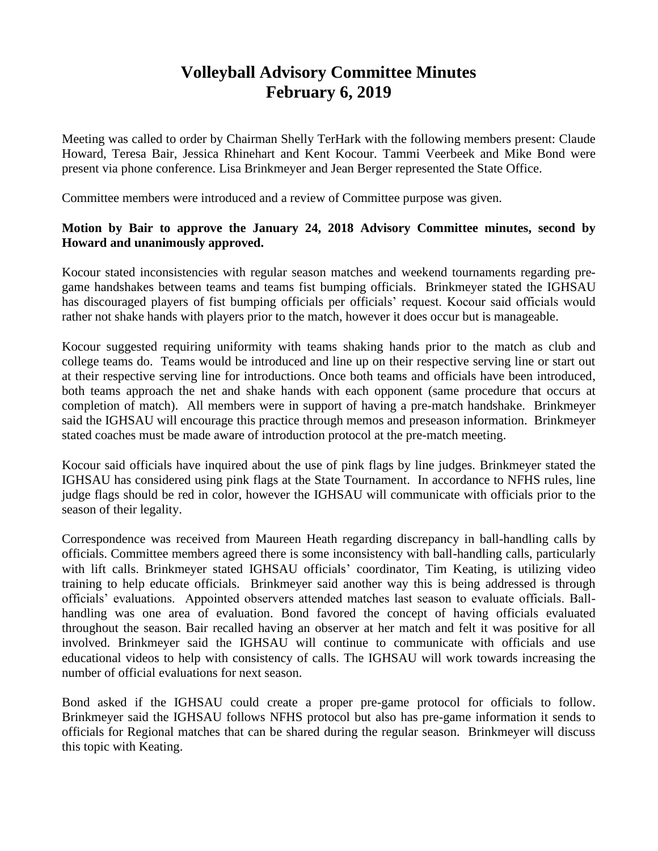## **Volleyball Advisory Committee Minutes February 6, 2019**

Meeting was called to order by Chairman Shelly TerHark with the following members present: Claude Howard, Teresa Bair, Jessica Rhinehart and Kent Kocour. Tammi Veerbeek and Mike Bond were present via phone conference. Lisa Brinkmeyer and Jean Berger represented the State Office.

Committee members were introduced and a review of Committee purpose was given.

## **Motion by Bair to approve the January 24, 2018 Advisory Committee minutes, second by Howard and unanimously approved.**

Kocour stated inconsistencies with regular season matches and weekend tournaments regarding pregame handshakes between teams and teams fist bumping officials. Brinkmeyer stated the IGHSAU has discouraged players of fist bumping officials per officials' request. Kocour said officials would rather not shake hands with players prior to the match, however it does occur but is manageable.

Kocour suggested requiring uniformity with teams shaking hands prior to the match as club and college teams do. Teams would be introduced and line up on their respective serving line or start out at their respective serving line for introductions. Once both teams and officials have been introduced, both teams approach the net and shake hands with each opponent (same procedure that occurs at completion of match). All members were in support of having a pre-match handshake. Brinkmeyer said the IGHSAU will encourage this practice through memos and preseason information. Brinkmeyer stated coaches must be made aware of introduction protocol at the pre-match meeting.

Kocour said officials have inquired about the use of pink flags by line judges. Brinkmeyer stated the IGHSAU has considered using pink flags at the State Tournament. In accordance to NFHS rules, line judge flags should be red in color, however the IGHSAU will communicate with officials prior to the season of their legality.

Correspondence was received from Maureen Heath regarding discrepancy in ball-handling calls by officials. Committee members agreed there is some inconsistency with ball-handling calls, particularly with lift calls. Brinkmeyer stated IGHSAU officials' coordinator, Tim Keating, is utilizing video training to help educate officials. Brinkmeyer said another way this is being addressed is through officials' evaluations. Appointed observers attended matches last season to evaluate officials. Ballhandling was one area of evaluation. Bond favored the concept of having officials evaluated throughout the season. Bair recalled having an observer at her match and felt it was positive for all involved. Brinkmeyer said the IGHSAU will continue to communicate with officials and use educational videos to help with consistency of calls. The IGHSAU will work towards increasing the number of official evaluations for next season.

Bond asked if the IGHSAU could create a proper pre-game protocol for officials to follow. Brinkmeyer said the IGHSAU follows NFHS protocol but also has pre-game information it sends to officials for Regional matches that can be shared during the regular season. Brinkmeyer will discuss this topic with Keating.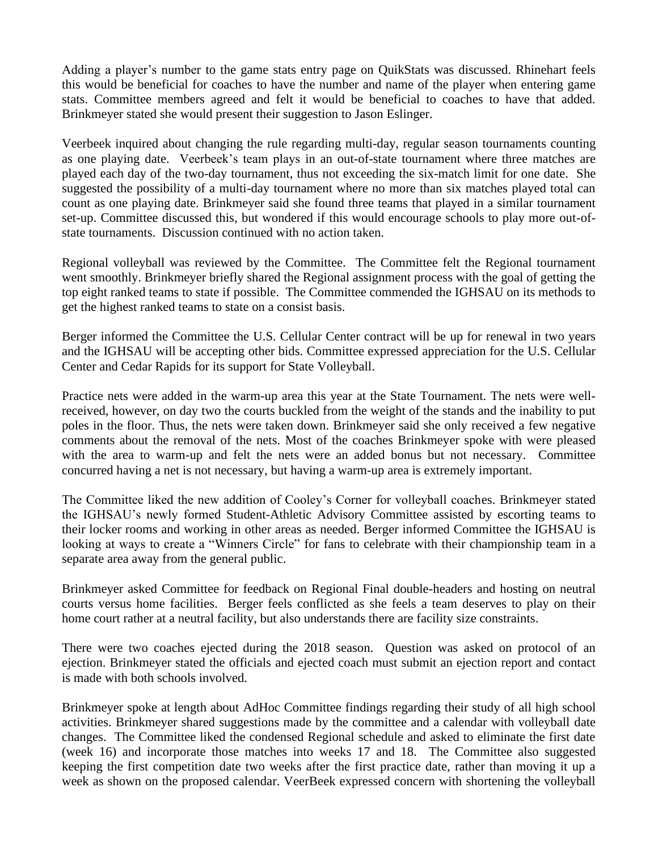Adding a player's number to the game stats entry page on QuikStats was discussed. Rhinehart feels this would be beneficial for coaches to have the number and name of the player when entering game stats. Committee members agreed and felt it would be beneficial to coaches to have that added. Brinkmeyer stated she would present their suggestion to Jason Eslinger.

Veerbeek inquired about changing the rule regarding multi-day, regular season tournaments counting as one playing date. Veerbeek's team plays in an out-of-state tournament where three matches are played each day of the two-day tournament, thus not exceeding the six-match limit for one date. She suggested the possibility of a multi-day tournament where no more than six matches played total can count as one playing date. Brinkmeyer said she found three teams that played in a similar tournament set-up. Committee discussed this, but wondered if this would encourage schools to play more out-ofstate tournaments. Discussion continued with no action taken.

Regional volleyball was reviewed by the Committee. The Committee felt the Regional tournament went smoothly. Brinkmeyer briefly shared the Regional assignment process with the goal of getting the top eight ranked teams to state if possible. The Committee commended the IGHSAU on its methods to get the highest ranked teams to state on a consist basis.

Berger informed the Committee the U.S. Cellular Center contract will be up for renewal in two years and the IGHSAU will be accepting other bids. Committee expressed appreciation for the U.S. Cellular Center and Cedar Rapids for its support for State Volleyball.

Practice nets were added in the warm-up area this year at the State Tournament. The nets were wellreceived, however, on day two the courts buckled from the weight of the stands and the inability to put poles in the floor. Thus, the nets were taken down. Brinkmeyer said she only received a few negative comments about the removal of the nets. Most of the coaches Brinkmeyer spoke with were pleased with the area to warm-up and felt the nets were an added bonus but not necessary. Committee concurred having a net is not necessary, but having a warm-up area is extremely important.

The Committee liked the new addition of Cooley's Corner for volleyball coaches. Brinkmeyer stated the IGHSAU's newly formed Student-Athletic Advisory Committee assisted by escorting teams to their locker rooms and working in other areas as needed. Berger informed Committee the IGHSAU is looking at ways to create a "Winners Circle" for fans to celebrate with their championship team in a separate area away from the general public.

Brinkmeyer asked Committee for feedback on Regional Final double-headers and hosting on neutral courts versus home facilities. Berger feels conflicted as she feels a team deserves to play on their home court rather at a neutral facility, but also understands there are facility size constraints.

There were two coaches ejected during the 2018 season. Question was asked on protocol of an ejection. Brinkmeyer stated the officials and ejected coach must submit an ejection report and contact is made with both schools involved.

Brinkmeyer spoke at length about AdHoc Committee findings regarding their study of all high school activities. Brinkmeyer shared suggestions made by the committee and a calendar with volleyball date changes. The Committee liked the condensed Regional schedule and asked to eliminate the first date (week 16) and incorporate those matches into weeks 17 and 18. The Committee also suggested keeping the first competition date two weeks after the first practice date, rather than moving it up a week as shown on the proposed calendar. VeerBeek expressed concern with shortening the volleyball